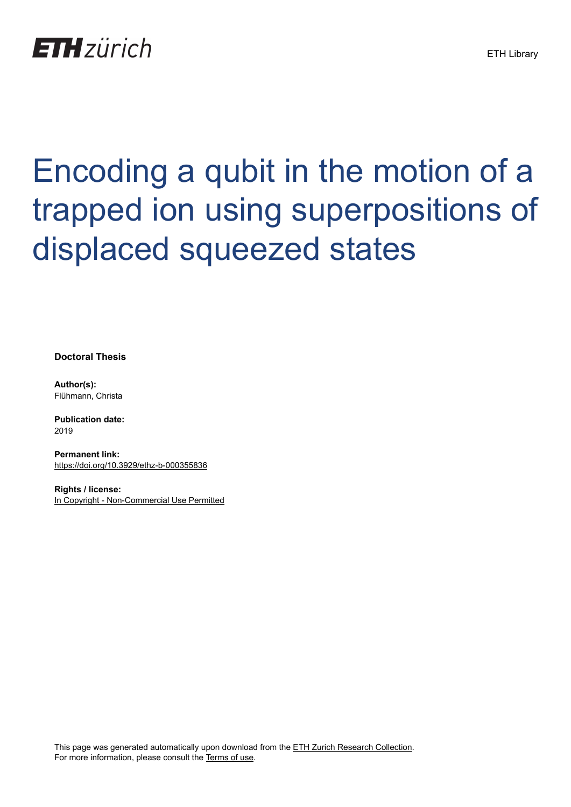

## Encoding a qubit in the motion of a trapped ion using superpositions of displaced squeezed states

**Doctoral Thesis**

**Author(s):** Flühmann, Christa

**Publication date:** 2019

**Permanent link:** <https://doi.org/10.3929/ethz-b-000355836>

**Rights / license:** [In Copyright - Non-Commercial Use Permitted](http://rightsstatements.org/page/InC-NC/1.0/)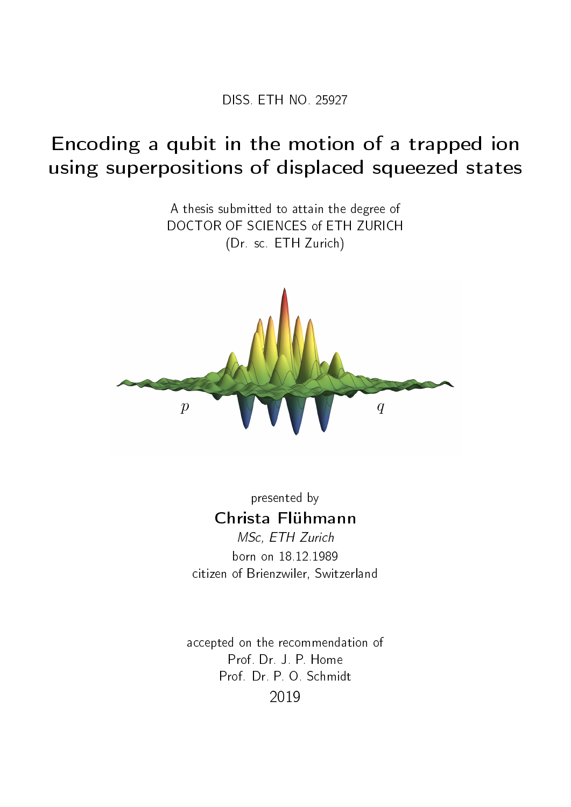DISS. ETH NO. 25927

## Encoding a qubit in the motion of a trapped ion using superpositions of displaced squeezed states

A thesis submitted to attain the degree of DOCTOR OF SCIENCES of ETH ZURICH (Dr. sc. ETH Zurich)



presented by Christa Flühmann MSc, ETH Zurich

born on 18.12.1989 citizen of Brienzwiler, Switzerland

accepted on the recommendation of Prof. Dr. J. P. Home Prof. Dr. P. O. Schmidt 2019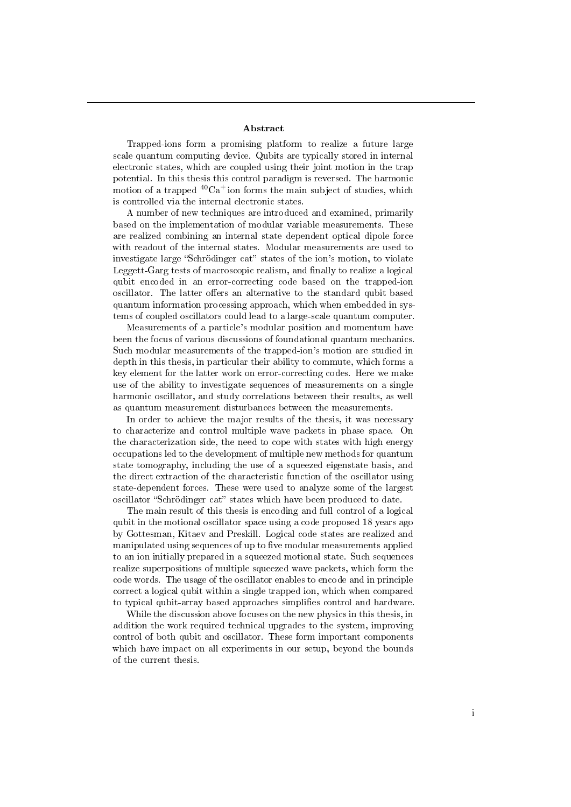## Abstract

Trapped-ions form a promising platform to realize a future large scale quantum computing device. Qubits are typically stored in internal electronic states, which are coupled using their joint motion in the trap potential. In this thesis this control paradigm is reversed. The harmonic motion of a trapped  ${}^{40}Ca<sup>+</sup>$  ion forms the main subject of studies, which is controlled via the internal electronic states.

A number of new techniques are introduced and examined, primarily based on the implementation of modular variable measurements. These are realized combining an internal state dependent optical dipole force with readout of the internal states. Modular measurements are used to investigate large "Schrödinger cat" states of the ion's motion, to violate Leggett-Garg tests of macroscopic realism, and finally to realize a logical qubit encoded in an error-correcting code based on the trapped-ion oscillator. The latter offers an alternative to the standard qubit based quantum information processing approach, which when embedded in systems of coupled oscillators could lead to a large-scale quantum computer.

Measurements of a particle's modular position and momentum have been the focus of various discussions of foundational quantum mechanics. Such modular measurements of the trapped-ion's motion are studied in depth in this thesis, in particular their ability to commute, which forms a key element for the latter work on error-correcting codes. Here we make use of the ability to investigate sequences of measurements on a single harmonic oscillator, and study correlations between their results, as well as quantum measurement disturbances between the measurements.

In order to achieve the major results of the thesis, it was necessary to characterize and control multiple wave packets in phase space. On the characterization side, the need to cope with states with high energy occupations led to the development of multiple new methods for quantum state tomography, including the use of a squeezed eigenstate basis, and the direct extraction of the characteristic function of the oscillator using state-dependent forces. These were used to analyze some of the largest oscillator "Schrödinger cat" states which have been produced to date.

The main result of this thesis is encoding and full control of a logical qubit in the motional oscillator space using a code proposed 18 years ago by Gottesman, Kitaev and Preskill. Logical code states are realized and manipulated using sequences of up to five modular measurements applied to an ion initially prepared in a squeezed motional state. Such sequences realize superpositions of multiple squeezed wave packets, which form the code words. The usage of the oscillator enables to encode and in principle correct a logical qubit within a single trapped ion, which when compared to typical qubit-array based approaches simplifies control and hardware.

While the discussion above focuses on the new physics in this thesis, in addition the work required technical upgrades to the system, improving control of both qubit and oscillator. These form important components which have impact on all experiments in our setup, beyond the bounds of the current thesis.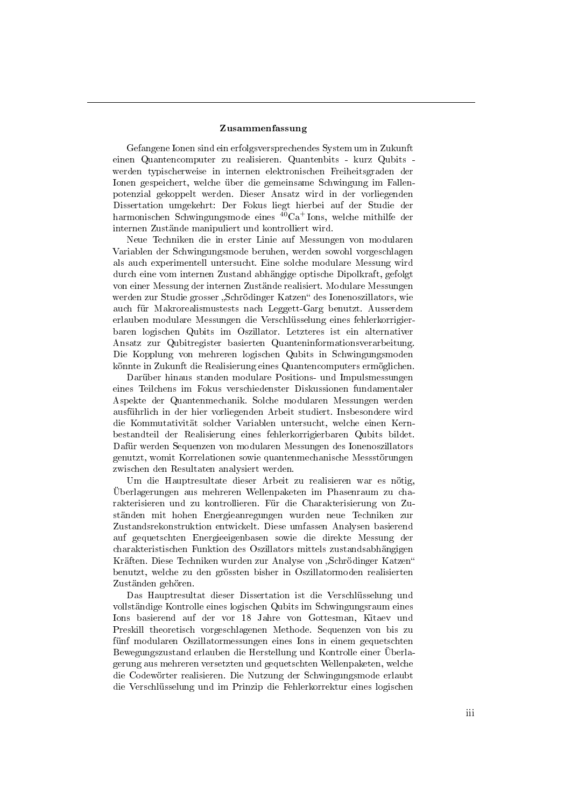## Zusammenfassung

Gefangene Ionen sind ein erfolgsversprechendes System um in Zukunft einen Quantencomputer zu realisieren. Quantenbits - kurz Qubits werden typischerweise in internen elektronischen Freiheitsgraden der Ionen gespeichert, welche über die gemeinsame Schwingung im Fallenpotenzial gekoppelt werden. Dieser Ansatz wird in der vorliegenden Dissertation umgekehrt: Der Fokus liegt hierbei auf der Studie der harmonischen Schwingungsmode eines  ${}^{40}Ca<sup>+</sup>$ Ions, welche mithilfe der internen Zustände manipuliert und kontrolliert wird.

Neue Techniken die in erster Linie auf Messungen von modularen Variablen der Schwingungsmode beruhen, werden sowohl vorgeschlagen als auch experimentell untersucht. Eine solche modulare Messung wird durch eine vom internen Zustand abhängige optische Dipolkraft, gefolgt von einer Messung der internen Zustände realisiert. Modulare Messungen werden zur Studie grosser "Schrödinger Katzen" des Ionenoszillators, wie auch für Makrorealismustests nach Leggett-Garg benutzt. Ausserdem erlauben modulare Messungen die Verschlüsselung eines fehlerkorrigierbaren logischen Qubits im Oszillator. Letzteres ist ein alternativer Ansatz zur Qubitregister basierten Quanteninformationsverarbeitung. Die Kopplung von mehreren logischen Qubits in Schwingungsmoden könnte in Zukunft die Realisierung eines Quantencomputers ermöglichen.

Darüber hinaus standen modulare Positions- und Impulsmessungen eines Teilchens im Fokus verschiedenster Diskussionen fundamentaler Aspekte der Quantenmechanik. Solche modularen Messungen werden ausführlich in der hier vorliegenden Arbeit studiert. Insbesondere wird die Kommutativität solcher Variablen untersucht, welche einen Kernbestandteil der Realisierung eines fehlerkorrigierbaren Qubits bildet. Dafür werden Sequenzen von modularen Messungen des Ionenoszillators genutzt, womit Korrelationen sowie quantenmechanische Messstörungen zwischen den Resultaten analysiert werden.

Um die Hauptresultate dieser Arbeit zu realisieren war es nötig, Überlagerungen aus mehreren Wellenpaketen im Phasenraum zu charakterisieren und zu kontrollieren. Für die Charakterisierung von Zuständen mit hohen Energieanregungen wurden neue Techniken zur Zustandsrekonstruktion entwickelt. Diese umfassen Analysen basierend auf gequetschten Energieeigenbasen sowie die direkte Messung der charakteristischen Funktion des Oszillators mittels zustandsabhängigen Kräften. Diese Techniken wurden zur Analyse von "Schrödinger Katzen" benutzt, welche zu den grössten bisher in Oszillatormoden realisierten Zuständen gehören.

Das Hauptresultat dieser Dissertation ist die Verschlüsselung und vollständige Kontrolle eines logischen Qubits im Schwingungsraum eines Ions basierend auf der vor 18 Jahre von Gottesman, Kitaev und Preskill theoretisch vorgeschlagenen Methode. Sequenzen von bis zu fünf modularen Oszillatormessungen eines Ions in einem gequetschten Bewegungszustand erlauben die Herstellung und Kontrolle einer Überlagerung aus mehreren versetzten und gequetschten Wellenpaketen, welche die Codewörter realisieren. Die Nutzung der Schwingungsmode erlaubt die Verschlüsselung und im Prinzip die Fehlerkorrektur eines logischen